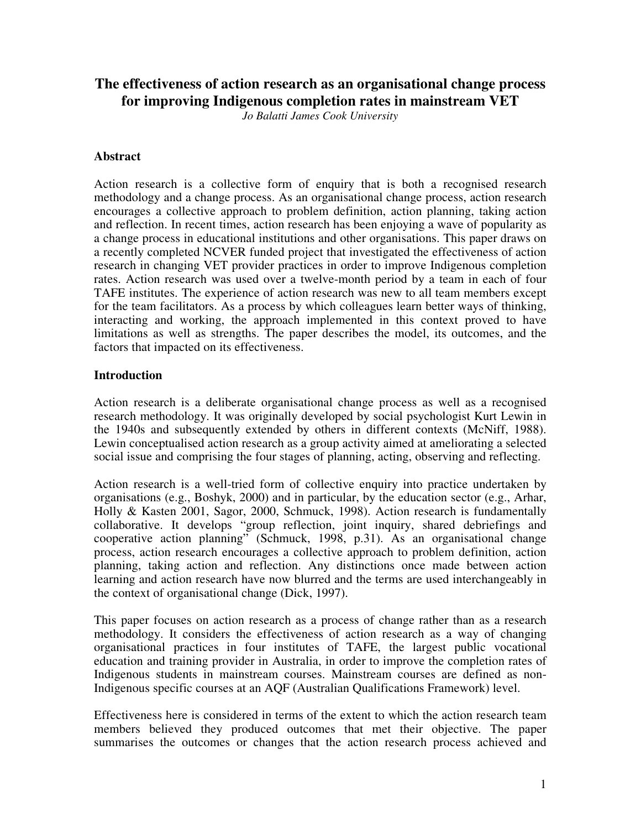# **The effectiveness of action research as an organisational change process for improving Indigenous completion rates in mainstream VET**

*Jo Balatti James Cook University*

## **Abstract**

Action research is a collective form of enquiry that is both a recognised research methodology and a change process. As an organisational change process, action research encourages a collective approach to problem definition, action planning, taking action and reflection. In recent times, action research has been enjoying a wave of popularity as a change process in educational institutions and other organisations. This paper draws on a recently completed NCVER funded project that investigated the effectiveness of action research in changing VET provider practices in order to improve Indigenous completion rates. Action research was used over a twelve-month period by a team in each of four TAFE institutes. The experience of action research was new to all team members except for the team facilitators. As a process by which colleagues learn better ways of thinking, interacting and working, the approach implemented in this context proved to have limitations as well as strengths. The paper describes the model, its outcomes, and the factors that impacted on its effectiveness.

## **Introduction**

Action research is a deliberate organisational change process as well as a recognised research methodology. It was originally developed by social psychologist Kurt Lewin in the 1940s and subsequently extended by others in different contexts (McNiff, 1988). Lewin conceptualised action research as a group activity aimed at ameliorating a selected social issue and comprising the four stages of planning, acting, observing and reflecting.

Action research is a well-tried form of collective enquiry into practice undertaken by organisations (e.g., Boshyk, 2000) and in particular, by the education sector (e.g., Arhar, Holly & Kasten 2001, Sagor, 2000, Schmuck, 1998). Action research is fundamentally collaborative. It develops "group reflection, joint inquiry, shared debriefings and cooperative action planning" (Schmuck, 1998, p.31). As an organisational change process, action research encourages a collective approach to problem definition, action planning, taking action and reflection. Any distinctions once made between action learning and action research have now blurred and the terms are used interchangeably in the context of organisational change (Dick, 1997).

This paper focuses on action research as a process of change rather than as a research methodology. It considers the effectiveness of action research as a way of changing organisational practices in four institutes of TAFE, the largest public vocational education and training provider in Australia, in order to improve the completion rates of Indigenous students in mainstream courses. Mainstream courses are defined as non-Indigenous specific courses at an AQF (Australian Qualifications Framework) level.

Effectiveness here is considered in terms of the extent to which the action research team members believed they produced outcomes that met their objective. The paper summarises the outcomes or changes that the action research process achieved and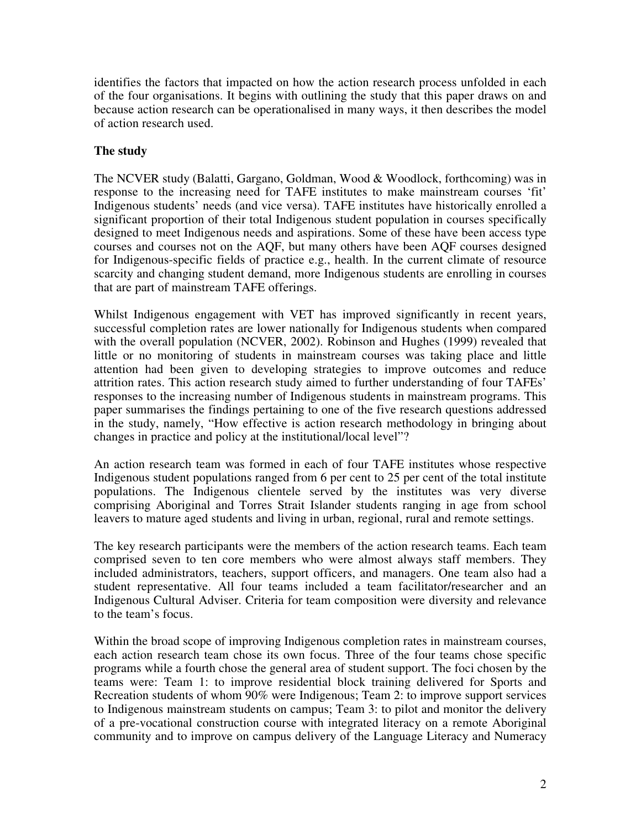identifies the factors that impacted on how the action research process unfolded in each of the four organisations. It begins with outlining the study that this paper draws on and because action research can be operationalised in many ways, it then describes the model of action research used.

# **The study**

The NCVER study (Balatti, Gargano, Goldman, Wood & Woodlock, forthcoming) was in response to the increasing need for TAFE institutes to make mainstream courses 'fit' Indigenous students' needs (and vice versa). TAFE institutes have historically enrolled a significant proportion of their total Indigenous student population in courses specifically designed to meet Indigenous needs and aspirations. Some of these have been access type courses and courses not on the AQF, but many others have been AQF courses designed for Indigenous-specific fields of practice e.g., health. In the current climate of resource scarcity and changing student demand, more Indigenous students are enrolling in courses that are part of mainstream TAFE offerings.

Whilst Indigenous engagement with VET has improved significantly in recent years, successful completion rates are lower nationally for Indigenous students when compared with the overall population (NCVER, 2002). Robinson and Hughes (1999) revealed that little or no monitoring of students in mainstream courses was taking place and little attention had been given to developing strategies to improve outcomes and reduce attrition rates. This action research study aimed to further understanding of four TAFEs' responses to the increasing number of Indigenous students in mainstream programs. This paper summarises the findings pertaining to one of the five research questions addressed in the study, namely, "How effective is action research methodology in bringing about changes in practice and policy at the institutional/local level"?

An action research team was formed in each of four TAFE institutes whose respective Indigenous student populations ranged from 6 per cent to 25 per cent of the total institute populations. The Indigenous clientele served by the institutes was very diverse comprising Aboriginal and Torres Strait Islander students ranging in age from school leavers to mature aged students and living in urban, regional, rural and remote settings.

The key research participants were the members of the action research teams. Each team comprised seven to ten core members who were almost always staff members. They included administrators, teachers, support officers, and managers. One team also had a student representative. All four teams included a team facilitator/researcher and an Indigenous Cultural Adviser. Criteria for team composition were diversity and relevance to the team's focus.

Within the broad scope of improving Indigenous completion rates in mainstream courses, each action research team chose its own focus. Three of the four teams chose specific programs while a fourth chose the general area of student support. The foci chosen by the teams were: Team 1: to improve residential block training delivered for Sports and Recreation students of whom 90% were Indigenous; Team 2: to improve support services to Indigenous mainstream students on campus; Team 3: to pilot and monitor the delivery of a pre-vocational construction course with integrated literacy on a remote Aboriginal community and to improve on campus delivery of the Language Literacy and Numeracy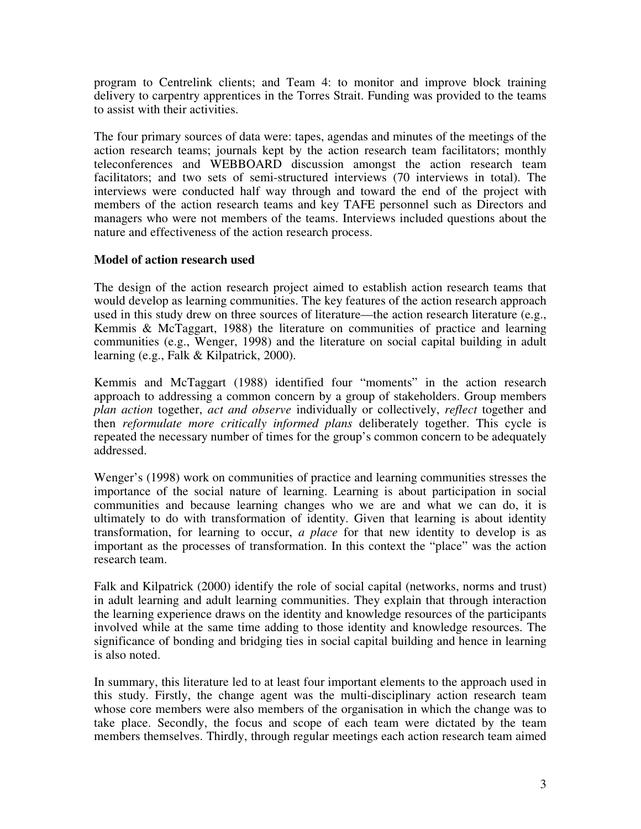program to Centrelink clients; and Team 4: to monitor and improve block training delivery to carpentry apprentices in the Torres Strait. Funding was provided to the teams to assist with their activities.

The four primary sources of data were: tapes, agendas and minutes of the meetings of the action research teams; journals kept by the action research team facilitators; monthly teleconferences and WEBBOARD discussion amongst the action research team facilitators; and two sets of semi-structured interviews (70 interviews in total). The interviews were conducted half way through and toward the end of the project with members of the action research teams and key TAFE personnel such as Directors and managers who were not members of the teams. Interviews included questions about the nature and effectiveness of the action research process.

# **Model of action research used**

The design of the action research project aimed to establish action research teams that would develop as learning communities. The key features of the action research approach used in this study drew on three sources of literature—the action research literature (e.g., Kemmis & McTaggart, 1988) the literature on communities of practice and learning communities (e.g., Wenger, 1998) and the literature on social capital building in adult learning (e.g., Falk & Kilpatrick, 2000).

Kemmis and McTaggart (1988) identified four "moments" in the action research approach to addressing a common concern by a group of stakeholders. Group members *plan action* together, *act and observe* individually or collectively, *reflect* together and then *reformulate more critically informed plans* deliberately together. This cycle is repeated the necessary number of times for the group's common concern to be adequately addressed.

Wenger's (1998) work on communities of practice and learning communities stresses the importance of the social nature of learning. Learning is about participation in social communities and because learning changes who we are and what we can do, it is ultimately to do with transformation of identity. Given that learning is about identity transformation, for learning to occur, *a place* for that new identity to develop is as important as the processes of transformation. In this context the "place" was the action research team.

Falk and Kilpatrick (2000) identify the role of social capital (networks, norms and trust) in adult learning and adult learning communities. They explain that through interaction the learning experience draws on the identity and knowledge resources of the participants involved while at the same time adding to those identity and knowledge resources. The significance of bonding and bridging ties in social capital building and hence in learning is also noted.

In summary, this literature led to at least four important elements to the approach used in this study. Firstly, the change agent was the multi-disciplinary action research team whose core members were also members of the organisation in which the change was to take place. Secondly, the focus and scope of each team were dictated by the team members themselves. Thirdly, through regular meetings each action research team aimed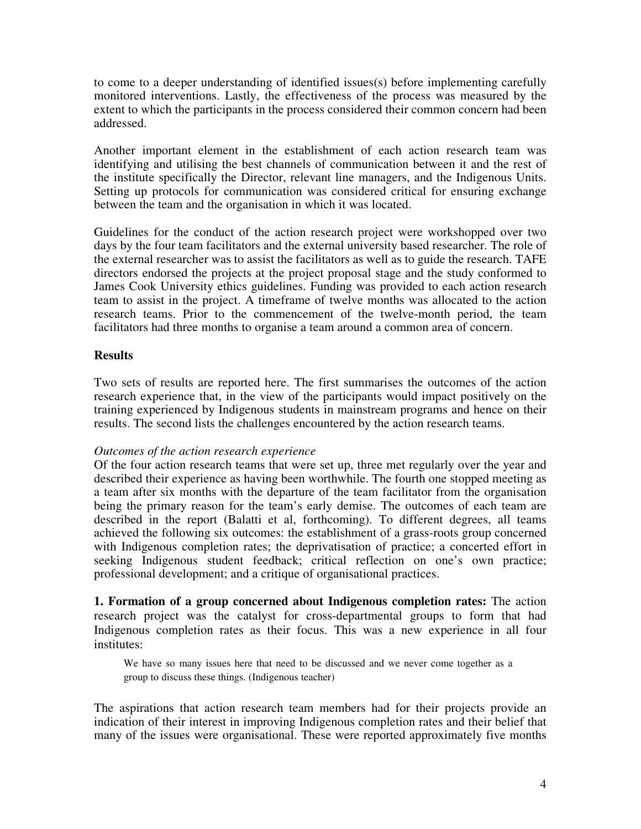to come to a deeper understanding of identified issues(s) before implementing carefully monitored interventions. Lastly, the effectiveness of the process was measured by the extent to which the participants in the process considered their common concern had been addressed.

Another important element in the establishment of each action research team was identifying and utilising the best channels of communication between it and the rest of the institute specifically the Director, relevant line managers, and the Indigenous Units. Setting up protocols for communication was considered critical for ensuring exchange between the team and the organisation in which it was located.

Guidelines for the conduct of the action research project were workshopped over two days by the four team facilitators and the external university based researcher. The role of the external researcher was to assist the facilitators as well as to guide the research. TAFE directors endorsed the projects at the project proposal stage and the study conformed to James Cook University ethics guidelines. Funding was provided to each action research team to assist in the project. A timeframe of twelve months was allocated to the action research teams. Prior to the commencement of the twelve-month period, the team facilitators had three months to organise a team around a common area of concern.

# **Results**

Two sets of results are reported here. The first summarises the outcomes of the action research experience that, in the view of the participants would impact positively on the training experienced by Indigenous students in mainstream programs and hence on their results. The second lists the challenges encountered by the action research teams.

## *Outcomes of the action research experience*

Of the four action research teams that were set up, three met regularly over the year and described their experience as having been worthwhile. The fourth one stopped meeting as a team after six months with the departure of the team facilitator from the organisation being the primary reason for the team's early demise. The outcomes of each team are described in the report (Balatti et al, forthcoming). To different degrees, all teams achieved the following six outcomes: the establishment of a grass-roots group concerned with Indigenous completion rates; the deprivatisation of practice; a concerted effort in seeking Indigenous student feedback; critical reflection on one's own practice; professional development; and a critique of organisational practices.

**1. Formation of a group concerned about Indigenous completion rates:** The action research project was the catalyst for cross-departmental groups to form that had Indigenous completion rates as their focus. This was a new experience in all four institutes:

We have so many issues here that need to be discussed and we never come together as a group to discuss these things. (Indigenous teacher)

The aspirations that action research team members had for their projects provide an indication of their interest in improving Indigenous completion rates and their belief that many of the issues were organisational. These were reported approximately five months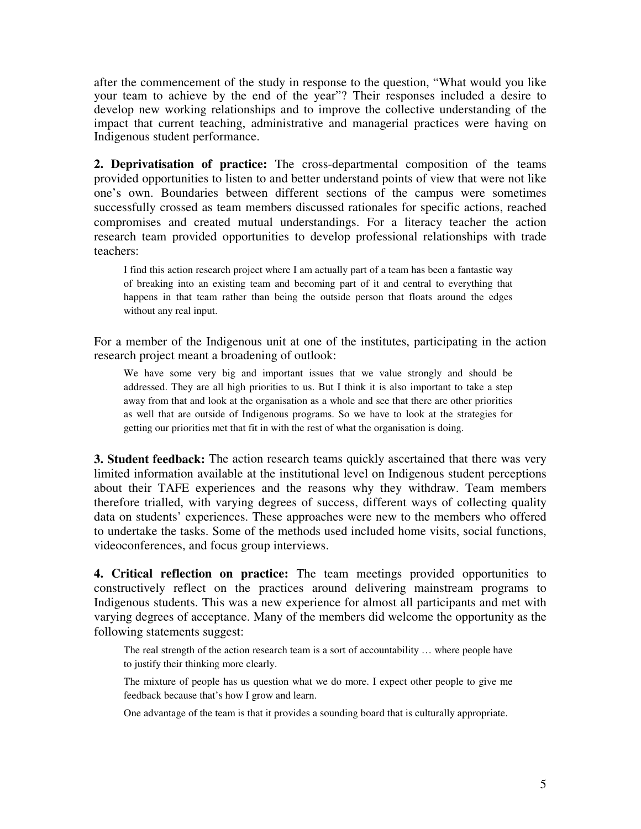after the commencement of the study in response to the question, "What would you like your team to achieve by the end of the year"? Their responses included a desire to develop new working relationships and to improve the collective understanding of the impact that current teaching, administrative and managerial practices were having on Indigenous student performance.

**2. Deprivatisation of practice:** The cross-departmental composition of the teams provided opportunities to listen to and better understand points of view that were not like one's own. Boundaries between different sections of the campus were sometimes successfully crossed as team members discussed rationales for specific actions, reached compromises and created mutual understandings. For a literacy teacher the action research team provided opportunities to develop professional relationships with trade teachers:

I find this action research project where I am actually part of a team has been a fantastic way of breaking into an existing team and becoming part of it and central to everything that happens in that team rather than being the outside person that floats around the edges without any real input.

For a member of the Indigenous unit at one of the institutes, participating in the action research project meant a broadening of outlook:

We have some very big and important issues that we value strongly and should be addressed. They are all high priorities to us. But I think it is also important to take a step away from that and look at the organisation as a whole and see that there are other priorities as well that are outside of Indigenous programs. So we have to look at the strategies for getting our priorities met that fit in with the rest of what the organisation is doing.

**3. Student feedback:** The action research teams quickly ascertained that there was very limited information available at the institutional level on Indigenous student perceptions about their TAFE experiences and the reasons why they withdraw. Team members therefore trialled, with varying degrees of success, different ways of collecting quality data on students' experiences. These approaches were new to the members who offered to undertake the tasks. Some of the methods used included home visits, social functions, videoconferences, and focus group interviews.

**4. Critical reflection on practice:** The team meetings provided opportunities to constructively reflect on the practices around delivering mainstream programs to Indigenous students. This was a new experience for almost all participants and met with varying degrees of acceptance. Many of the members did welcome the opportunity as the following statements suggest:

The real strength of the action research team is a sort of accountability … where people have to justify their thinking more clearly.

The mixture of people has us question what we do more. I expect other people to give me feedback because that's how I grow and learn.

One advantage of the team is that it provides a sounding board that is culturally appropriate.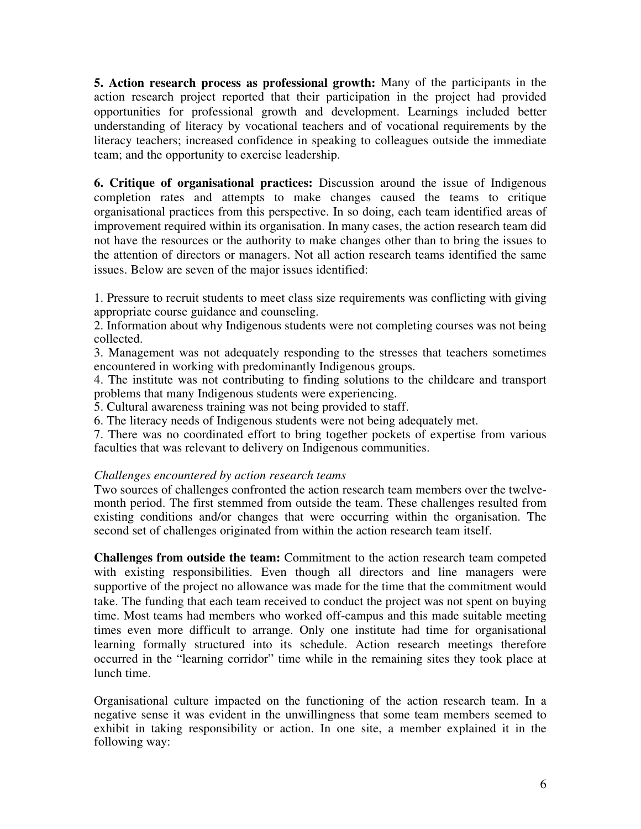**5. Action research process as professional growth:** Many of the participants in the action research project reported that their participation in the project had provided opportunities for professional growth and development. Learnings included better understanding of literacy by vocational teachers and of vocational requirements by the literacy teachers; increased confidence in speaking to colleagues outside the immediate team; and the opportunity to exercise leadership.

**6. Critique of organisational practices:** Discussion around the issue of Indigenous completion rates and attempts to make changes caused the teams to critique organisational practices from this perspective. In so doing, each team identified areas of improvement required within its organisation. In many cases, the action research team did not have the resources or the authority to make changes other than to bring the issues to the attention of directors or managers. Not all action research teams identified the same issues. Below are seven of the major issues identified:

1. Pressure to recruit students to meet class size requirements was conflicting with giving appropriate course guidance and counseling.

2. Information about why Indigenous students were not completing courses was not being collected.

3. Management was not adequately responding to the stresses that teachers sometimes encountered in working with predominantly Indigenous groups.

4. The institute was not contributing to finding solutions to the childcare and transport problems that many Indigenous students were experiencing.

5. Cultural awareness training was not being provided to staff.

6. The literacy needs of Indigenous students were not being adequately met.

7. There was no coordinated effort to bring together pockets of expertise from various faculties that was relevant to delivery on Indigenous communities.

## *Challenges encountered by action research teams*

Two sources of challenges confronted the action research team members over the twelvemonth period. The first stemmed from outside the team. These challenges resulted from existing conditions and/or changes that were occurring within the organisation. The second set of challenges originated from within the action research team itself.

**Challenges from outside the team:** Commitment to the action research team competed with existing responsibilities. Even though all directors and line managers were supportive of the project no allowance was made for the time that the commitment would take. The funding that each team received to conduct the project was not spent on buying time. Most teams had members who worked off-campus and this made suitable meeting times even more difficult to arrange. Only one institute had time for organisational learning formally structured into its schedule. Action research meetings therefore occurred in the "learning corridor" time while in the remaining sites they took place at lunch time.

Organisational culture impacted on the functioning of the action research team. In a negative sense it was evident in the unwillingness that some team members seemed to exhibit in taking responsibility or action. In one site, a member explained it in the following way: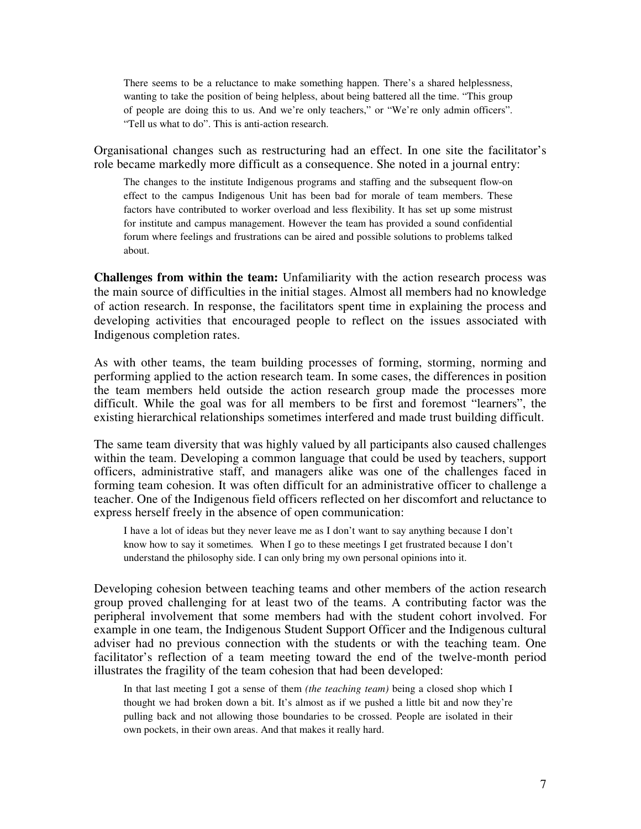There seems to be a reluctance to make something happen. There's a shared helplessness, wanting to take the position of being helpless, about being battered all the time. "This group of people are doing this to us. And we're only teachers," or "We're only admin officers". "Tell us what to do". This is anti-action research.

Organisational changes such as restructuring had an effect. In one site the facilitator's role became markedly more difficult as a consequence. She noted in a journal entry:

The changes to the institute Indigenous programs and staffing and the subsequent flow-on effect to the campus Indigenous Unit has been bad for morale of team members. These factors have contributed to worker overload and less flexibility. It has set up some mistrust for institute and campus management. However the team has provided a sound confidential forum where feelings and frustrations can be aired and possible solutions to problems talked about.

**Challenges from within the team:** Unfamiliarity with the action research process was the main source of difficulties in the initial stages. Almost all members had no knowledge of action research. In response, the facilitators spent time in explaining the process and developing activities that encouraged people to reflect on the issues associated with Indigenous completion rates.

As with other teams, the team building processes of forming, storming, norming and performing applied to the action research team. In some cases, the differences in position the team members held outside the action research group made the processes more difficult. While the goal was for all members to be first and foremost "learners", the existing hierarchical relationships sometimes interfered and made trust building difficult.

The same team diversity that was highly valued by all participants also caused challenges within the team. Developing a common language that could be used by teachers, support officers, administrative staff, and managers alike was one of the challenges faced in forming team cohesion. It was often difficult for an administrative officer to challenge a teacher. One of the Indigenous field officers reflected on her discomfort and reluctance to express herself freely in the absence of open communication:

I have a lot of ideas but they never leave me as I don't want to say anything because I don't know how to say it sometimes*.* When I go to these meetings I get frustrated because I don't understand the philosophy side. I can only bring my own personal opinions into it.

Developing cohesion between teaching teams and other members of the action research group proved challenging for at least two of the teams. A contributing factor was the peripheral involvement that some members had with the student cohort involved. For example in one team, the Indigenous Student Support Officer and the Indigenous cultural adviser had no previous connection with the students or with the teaching team. One facilitator's reflection of a team meeting toward the end of the twelve-month period illustrates the fragility of the team cohesion that had been developed:

In that last meeting I got a sense of them *(the teaching team)* being a closed shop which I thought we had broken down a bit. It's almost as if we pushed a little bit and now they're pulling back and not allowing those boundaries to be crossed. People are isolated in their own pockets, in their own areas. And that makes it really hard.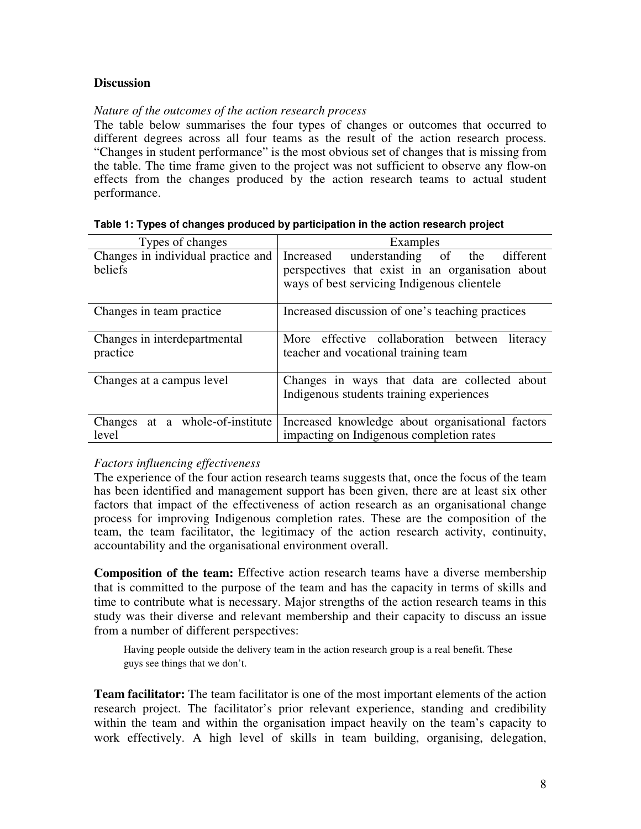# **Discussion**

#### *Nature of the outcomes of the action research process*

The table below summarises the four types of changes or outcomes that occurred to different degrees across all four teams as the result of the action research process. "Changes in student performance" is the most obvious set of changes that is missing from the table. The time frame given to the project was not sufficient to observe any flow-on effects from the changes produced by the action research teams to actual student performance.

| Types of changes                            | Examples                                                                                        |  |  |  |  |
|---------------------------------------------|-------------------------------------------------------------------------------------------------|--|--|--|--|
| Changes in individual practice and          | understanding of the different<br>Increased                                                     |  |  |  |  |
| beliefs                                     | perspectives that exist in an organisation about<br>ways of best servicing Indigenous clientele |  |  |  |  |
| Changes in team practice.                   | Increased discussion of one's teaching practices                                                |  |  |  |  |
| Changes in interdepartmental<br>practice    | More effective collaboration between<br>literacy<br>teacher and vocational training team        |  |  |  |  |
| Changes at a campus level                   | Changes in ways that data are collected about<br>Indigenous students training experiences       |  |  |  |  |
| at a whole-of-institute<br>Changes<br>level | Increased knowledge about organisational factors<br>impacting on Indigenous completion rates    |  |  |  |  |

|  | Table 1: Types of changes produced by participation in the action research project |  |  |  |  |
|--|------------------------------------------------------------------------------------|--|--|--|--|
|  |                                                                                    |  |  |  |  |

## *Factors influencing effectiveness*

The experience of the four action research teams suggests that, once the focus of the team has been identified and management support has been given, there are at least six other factors that impact of the effectiveness of action research as an organisational change process for improving Indigenous completion rates. These are the composition of the team, the team facilitator, the legitimacy of the action research activity, continuity, accountability and the organisational environment overall.

**Composition of the team:** Effective action research teams have a diverse membership that is committed to the purpose of the team and has the capacity in terms of skills and time to contribute what is necessary. Major strengths of the action research teams in this study was their diverse and relevant membership and their capacity to discuss an issue from a number of different perspectives:

Having people outside the delivery team in the action research group is a real benefit. These guys see things that we don't.

**Team facilitator:** The team facilitator is one of the most important elements of the action research project. The facilitator's prior relevant experience, standing and credibility within the team and within the organisation impact heavily on the team's capacity to work effectively. A high level of skills in team building, organising, delegation,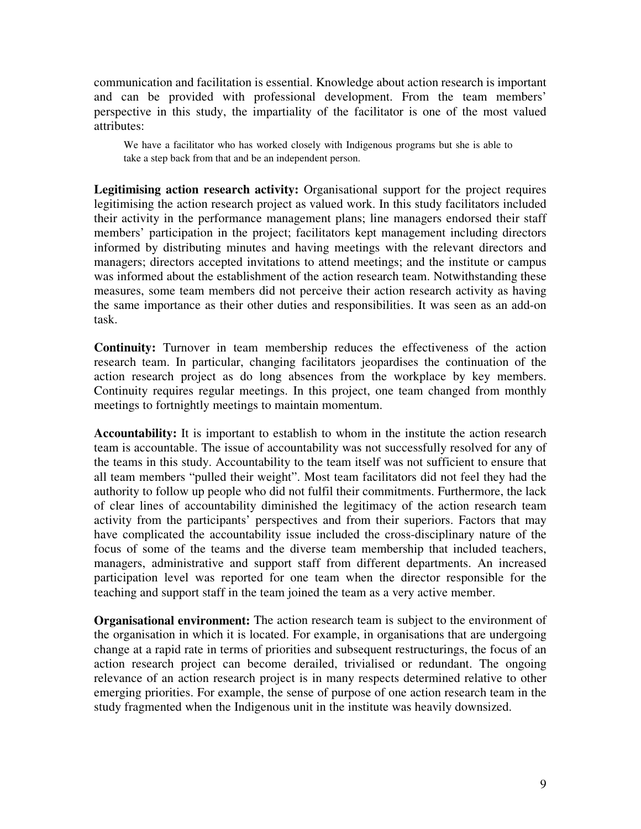communication and facilitation is essential. Knowledge about action research is important and can be provided with professional development. From the team members' perspective in this study, the impartiality of the facilitator is one of the most valued attributes:

We have a facilitator who has worked closely with Indigenous programs but she is able to take a step back from that and be an independent person.

**Legitimising action research activity:** Organisational support for the project requires legitimising the action research project as valued work. In this study facilitators included their activity in the performance management plans; line managers endorsed their staff members' participation in the project; facilitators kept management including directors informed by distributing minutes and having meetings with the relevant directors and managers; directors accepted invitations to attend meetings; and the institute or campus was informed about the establishment of the action research team. Notwithstanding these measures, some team members did not perceive their action research activity as having the same importance as their other duties and responsibilities. It was seen as an add-on task.

**Continuity:** Turnover in team membership reduces the effectiveness of the action research team. In particular, changing facilitators jeopardises the continuation of the action research project as do long absences from the workplace by key members. Continuity requires regular meetings. In this project, one team changed from monthly meetings to fortnightly meetings to maintain momentum.

**Accountability:** It is important to establish to whom in the institute the action research team is accountable. The issue of accountability was not successfully resolved for any of the teams in this study. Accountability to the team itself was not sufficient to ensure that all team members "pulled their weight". Most team facilitators did not feel they had the authority to follow up people who did not fulfil their commitments. Furthermore, the lack of clear lines of accountability diminished the legitimacy of the action research team activity from the participants' perspectives and from their superiors. Factors that may have complicated the accountability issue included the cross-disciplinary nature of the focus of some of the teams and the diverse team membership that included teachers, managers, administrative and support staff from different departments. An increased participation level was reported for one team when the director responsible for the teaching and support staff in the team joined the team as a very active member.

**Organisational environment:** The action research team is subject to the environment of the organisation in which it is located. For example, in organisations that are undergoing change at a rapid rate in terms of priorities and subsequent restructurings, the focus of an action research project can become derailed, trivialised or redundant. The ongoing relevance of an action research project is in many respects determined relative to other emerging priorities. For example, the sense of purpose of one action research team in the study fragmented when the Indigenous unit in the institute was heavily downsized.